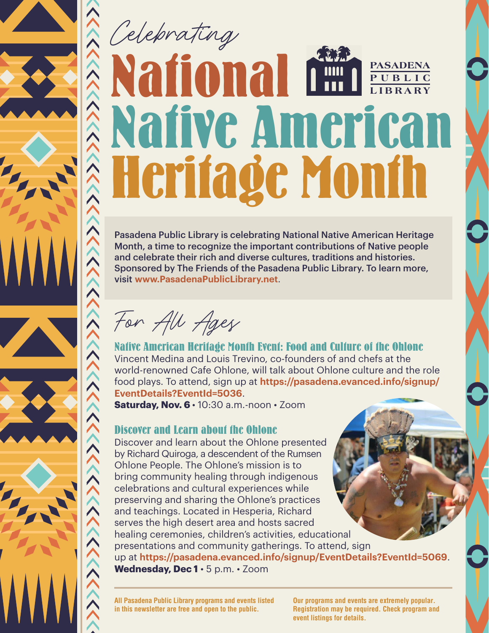# Celebrating **National Native American Heritage Month PASADENA PUBLIC LIBRARY**

Pasadena Public Library is celebrating National Native American Heritage Month, a time to recognize the important contributions of Native people and celebrate their rich and diverse cultures, traditions and histories. Sponsored by The Friends of the Pasadena Public Library. To learn more, visit **[www.PasadenaPublicLibrary.net](http://www.PasadenaPublicLibrary.net)**.

For All Ages

 $\gg$ 

**Native American Heritage Month Event: Food and Culture of the Ohlone** Vincent Medina and Louis Trevino, co-founders of and chefs at the world-renowned Cafe Ohlone, will talk about Ohlone culture and the role food plays. To attend, sign up at **[https://pasadena.evanced.info/signup/](https://pasadena.evanced.info/signup/EventDetails?EventId=5036) [EventDetails?EventId=5036](https://pasadena.evanced.info/signup/EventDetails?EventId=5036)**.

**Saturday, Nov. 6** • 10:30 a.m.-noon • Zoom

## **Discover and Learn about the Ohlone**

Discover and learn about the Ohlone presented by Richard Quiroga, a descendent of the Rumsen Ohlone People. The Ohlone's mission is to bring community healing through indigenous celebrations and cultural experiences while preserving and sharing the Ohlone's practices and teachings. Located in Hesperia, Richard serves the high desert area and hosts sacred healing ceremonies, children's activities, educational presentations and community gatherings. To attend, sign up at **<https://pasadena.evanced.info/signup/EventDetails?EventId=5069>**. **Wednesday, Dec 1** • 5 p.m. • Zoom

**All Pasadena Public Library programs and events listed in this newsletter are free and open to the public.** 

**Our programs and events are extremely popular. Registration may be required. Check program and event listings for details.**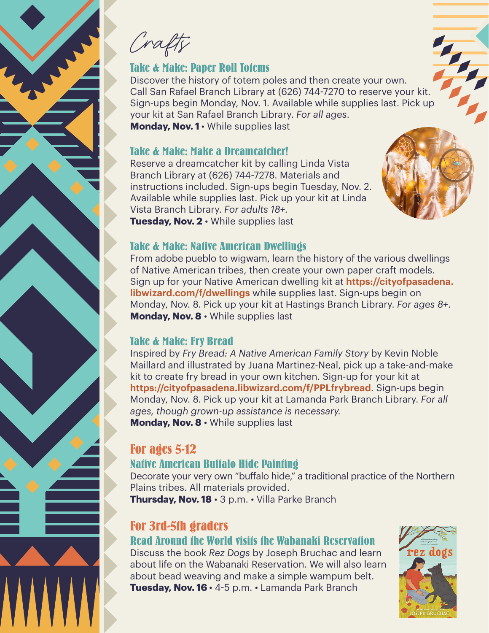Crafts

## **Take & Make: Paper Roll Totems**

Discover the history of totem poles and then create your own. Take & Make: Paper Roll Tofems<br>Discover the history of totem poles and then create your own.<br>Call San Rafael Branch Library at (626) 744-7270 to reserve your kit. Sign-ups begin Monday, Nov. 1. Available while supplies last. Pick up your kit at San Rafael Branch Library. *For all ages*. **Monday, Nov. 1** • While supplies last

### **Take & Make: Make a Dreamcatcher!**

Reserve a dreamcatcher kit by calling Linda Vista Branch Library at (626) 744-7278. Materials and instructions included. Sign-ups begin Tuesday, Nov. 2. Available while supplies last. Pick up your kit at Linda Vista Branch Library. *For adults 18+.* **Tuesday, Nov. 2** • While supplies last



## **Take & Make: Native American Dwellings**

From adobe pueblo to wigwam, learn the history of the various dwellings of Native American tribes, then create your own paper craft models. Sign up for your Native American dwelling kit at **[https://cityofpasadena.](https://cityofpasadena.libwizard.com/f/dwellings) [libwizard.com/f/dwellings](https://cityofpasadena.libwizard.com/f/dwellings)** while supplies last. Sign-ups begin on Monday, Nov. 8. Pick up your kit at Hastings Branch Library. *For ages 8+*. **Monday, Nov. 8** • While supplies last

### **Take & Make: Fry Bread**

Inspired by *Fry Bread: A Native American Family Story* by Kevin Noble Maillard and illustrated by Juana Martinez-Neal, pick up a take-and-make kit to create fry bread in your own kitchen. Sign-up for your kit at **<https://cityofpasadena.libwizard.com/f/PPLfrybread>**. Sign-ups begin Monday, Nov. 8. Pick up your kit at Lamanda Park Branch Library. *For all ages, though grown-up assistance is necessary.* **Monday, Nov. 8** • While supplies last

## **For ages 5-12**

## **Native American Buffalo Hide Painting**

Decorate your very own "buffalo hide," a traditional practice of the Northern Plains tribes. All materials provided.

**Thursday, Nov. 18** • 3 p.m. • Villa Parke Branch

## **For 3rd-5th graders**

## **Read Around the World visits the Wabanaki Reservation**

Discuss the book *Rez Dogs* by Joseph Bruchac and learn about life on the Wabanaki Reservation. We will also learn about bead weaving and make a simple wampum belt. **Tuesday, Nov. 16** • 4-5 p.m. • Lamanda Park Branch

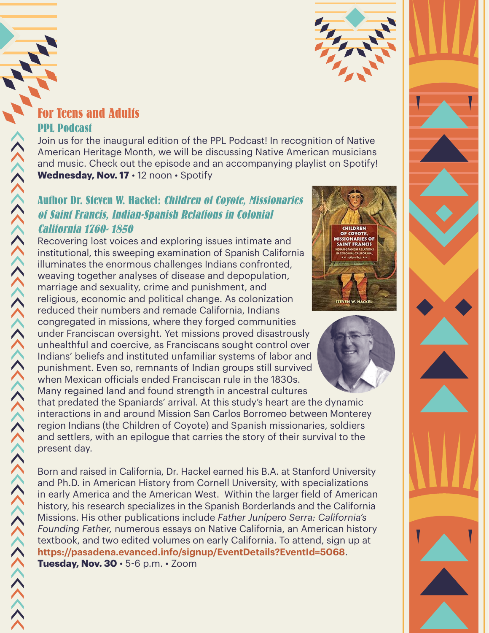

# **PPL Podcast**

Join us for the inaugural edition of the PPL Podcast! In recognition of Native American Heritage Month, we will be discussing Native American musicians and music. Check out the episode and an accompanying playlist on Spotify! Wednesday, Nov. 17 · 12 noon · Spotify

## **Author Dr. Steven W. Hackel: Children of Coyote, Missionaries of Saint Francis, Indian-Spanish Relations in Colonial California 1760- 1850**

**For Technical Adults**<br> **For Technical Adults**<br> **For Technical Advisions Scheme American Heritage Moon and music. Check out to Wednesday, Nov. 17 - 1<br>
Author Dr. Steven W. Ha<br>
of Saint Francis, Indian<br>
California 1760-1850** Recovering lost voices and exploring issues intimate and institutional, this sweeping examination of Spanish California illuminates the enormous challenges Indians confronted, weaving together analyses of disease and depopulation, marriage and sexuality, crime and punishment, and religious, economic and political change. As colonization reduced their numbers and remade California, Indians congregated in missions, where they forged communities under Franciscan oversight. Yet missions proved disastrously unhealthful and coercive, as Franciscans sought control over Indians' beliefs and instituted unfamiliar systems of labor and punishment. Even so, remnants of Indian groups still survived when Mexican officials ended Franciscan rule in the 1830s. Many regained land and found strength in ancestral cultures





that predated the Spaniards' arrival. At this study's heart are the dynamic interactions in and around Mission San Carlos Borromeo between Monterey region Indians (the Children of Coyote) and Spanish missionaries, soldiers and settlers, with an epilogue that carries the story of their survival to the present day.

Born and raised in California, Dr. Hackel earned his B.A. at Stanford University and Ph.D. in American History from Cornell University, with specializations in early America and the American West. Within the larger field of American history, his research specializes in the Spanish Borderlands and the California Missions. His other publications include *Father Junípero Serra: California's Founding Father,* numerous essays on Native California, an American history textbook, and two edited volumes on early California. To attend, sign up at **<https://pasadena.evanced.info/signup/EventDetails?EventId=5068>**. **Tuesday, Nov. 30** • 5-6 p.m. • Zoom